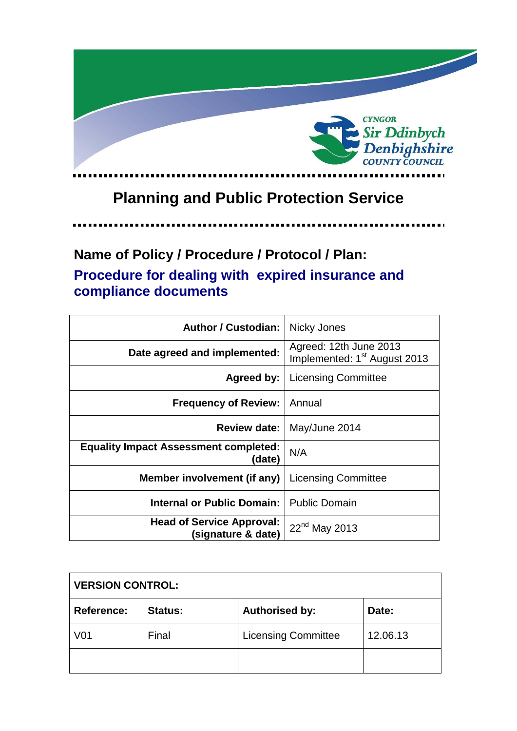

# **Planning and Public Protection Service**

. . . . . .

# **Name of Policy / Procedure / Protocol / Plan: Procedure for dealing with expired insurance and compliance documents**

| <b>Author / Custodian:</b>                             | Nicky Jones                                                        |
|--------------------------------------------------------|--------------------------------------------------------------------|
| Date agreed and implemented:                           | Agreed: 12th June 2013<br>Implemented: 1 <sup>st</sup> August 2013 |
| Agreed by:                                             | <b>Licensing Committee</b>                                         |
| <b>Frequency of Review:</b>                            | Annual                                                             |
| <b>Review date:</b>                                    | May/June 2014                                                      |
| <b>Equality Impact Assessment completed:</b><br>(date) | N/A                                                                |
| Member involvement (if any)                            | <b>Licensing Committee</b>                                         |
| <b>Internal or Public Domain:</b>                      | <b>Public Domain</b>                                               |
| <b>Head of Service Approval:</b><br>(signature & date) | 22 <sup>nd</sup> May 2013                                          |

| <b>VERSION CONTROL:</b> |                |                            |          |
|-------------------------|----------------|----------------------------|----------|
| <b>Reference:</b>       | <b>Status:</b> | <b>Authorised by:</b>      | Date:    |
| V <sub>01</sub>         | Final          | <b>Licensing Committee</b> | 12.06.13 |
|                         |                |                            |          |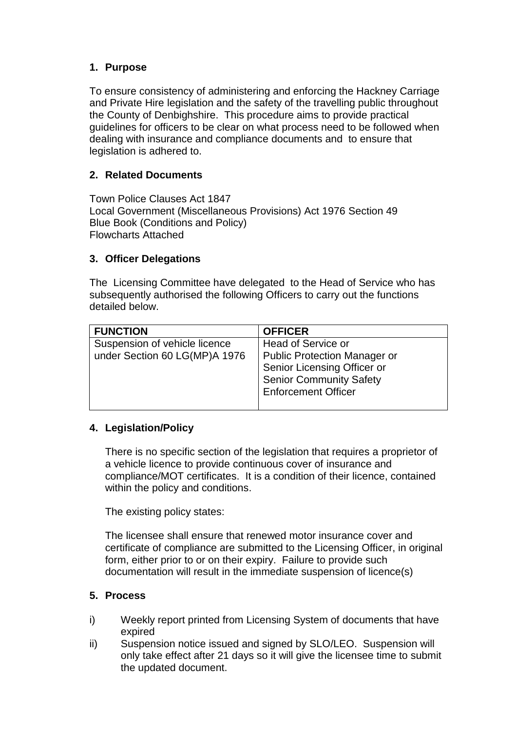# **1. Purpose**

To ensure consistency of administering and enforcing the Hackney Carriage and Private Hire legislation and the safety of the travelling public throughout the County of Denbighshire. This procedure aims to provide practical guidelines for officers to be clear on what process need to be followed when dealing with insurance and compliance documents and to ensure that legislation is adhered to.

# **2. Related Documents**

Town Police Clauses Act 1847 Local Government (Miscellaneous Provisions) Act 1976 Section 49 Blue Book (Conditions and Policy) Flowcharts Attached

# **3. Officer Delegations**

The Licensing Committee have delegated to the Head of Service who has subsequently authorised the following Officers to carry out the functions detailed below.

| <b>FUNCTION</b>                                                | <b>OFFICER</b>                                                                                                                                           |
|----------------------------------------------------------------|----------------------------------------------------------------------------------------------------------------------------------------------------------|
| Suspension of vehicle licence<br>under Section 60 LG(MP)A 1976 | Head of Service or<br><b>Public Protection Manager or</b><br>Senior Licensing Officer or<br><b>Senior Community Safety</b><br><b>Enforcement Officer</b> |
|                                                                |                                                                                                                                                          |

# **4. Legislation/Policy**

There is no specific section of the legislation that requires a proprietor of a vehicle licence to provide continuous cover of insurance and compliance/MOT certificates. It is a condition of their licence, contained within the policy and conditions.

The existing policy states:

The licensee shall ensure that renewed motor insurance cover and certificate of compliance are submitted to the Licensing Officer, in original form, either prior to or on their expiry. Failure to provide such documentation will result in the immediate suspension of licence(s)

# **5. Process**

- i) Weekly report printed from Licensing System of documents that have expired
- ii) Suspension notice issued and signed by SLO/LEO. Suspension will only take effect after 21 days so it will give the licensee time to submit the updated document.